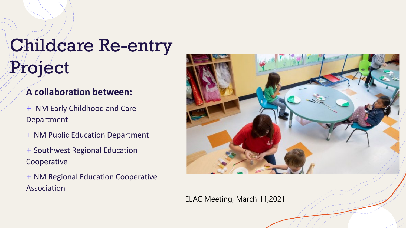# Childcare Re-entry Project

#### **A collaboration between:**

+ NM Early Childhood and Care Department

- + NM Public Education Department
- + Southwest Regional Education Cooperative
- + NM Regional Education Cooperative Association



ELAC Meeting, March 11,2021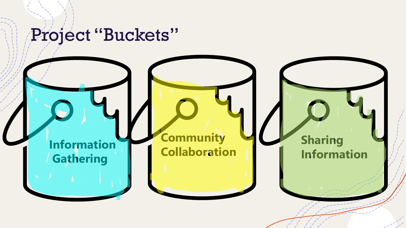### Project "Buckets"

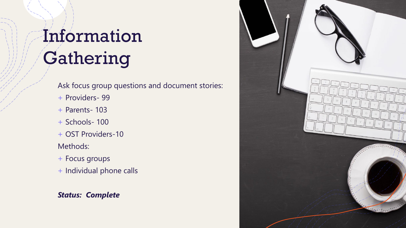# Information Gathering

Ask focus group questions and document stories:

- + Providers- 99
- + Parents- 103
- + Schools- 100
- + OST Providers-10

#### Methods:

- + Focus groups
- + Individual phone calls

#### *Status: Complete*

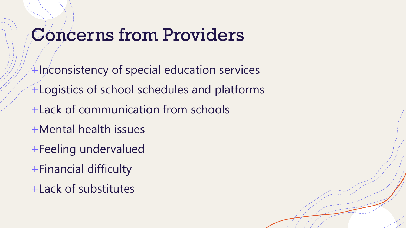## Concerns from Providers

 $+$ Inconsistency of special education services +Logistics of school schedules and platforms +Lack of communication from schools +Mental health issues +Feeling undervalued

- +Financial difficulty
- +Lack of substitutes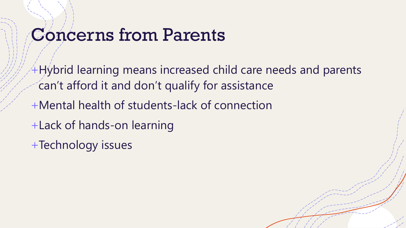### Concerns from Parents

+Hybrid learning means increased child care needs and parents can't afford it and don't qualify for assistance

- +Mental health of students-lack of connection
- +Lack of hands-on learning
- +Technology issues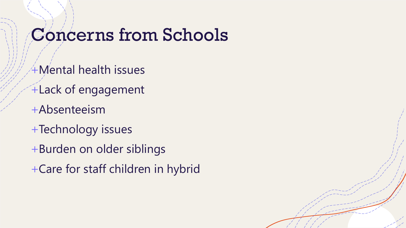### Concerns from Schools

- +Mental health issues
- +Lack of engagement
- +Absenteeism
- +Technology issues
- +Burden on older siblings
- +Care for staff children in hybrid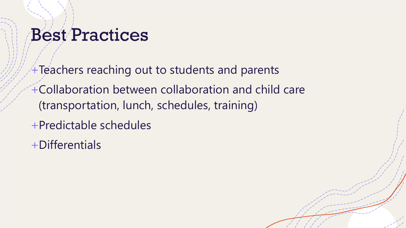## Best Practices

 $+$ Teachers reaching out to students and parents +Collaboration between collaboration and child care (transportation, lunch, schedules, training)

- +Predictable schedules
- +Differentials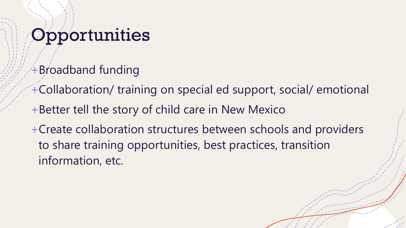# **Opportunities**

- $+$ Broadband funding
- +Collaboration/ training on special ed support, social/ emotional
- +Better tell the story of child care in New Mexico
- +Create collaboration structures between schools and providers to share training opportunities, best practices, transition information, etc.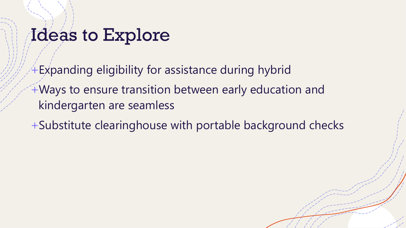### Ideas to Explore

+Expanding eligibility for assistance during hybrid +Ways to ensure transition between early education and kindergarten are seamless

+Substitute clearinghouse with portable background checks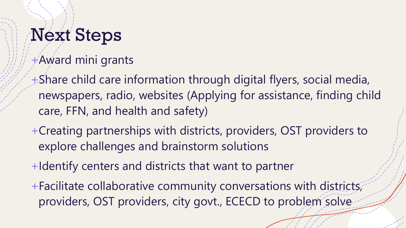# Next Steps

- $+A$ ward mini grants
- +Share child care information through digital flyers, social media, newspapers, radio, websites (Applying for assistance, finding child care, FFN, and health and safety)
- +Creating partnerships with districts, providers, OST providers to explore challenges and brainstorm solutions
- +Identify centers and districts that want to partner
- +Facilitate collaborative community conversations with districts, providers, OST providers, city govt., ECECD to problem solve